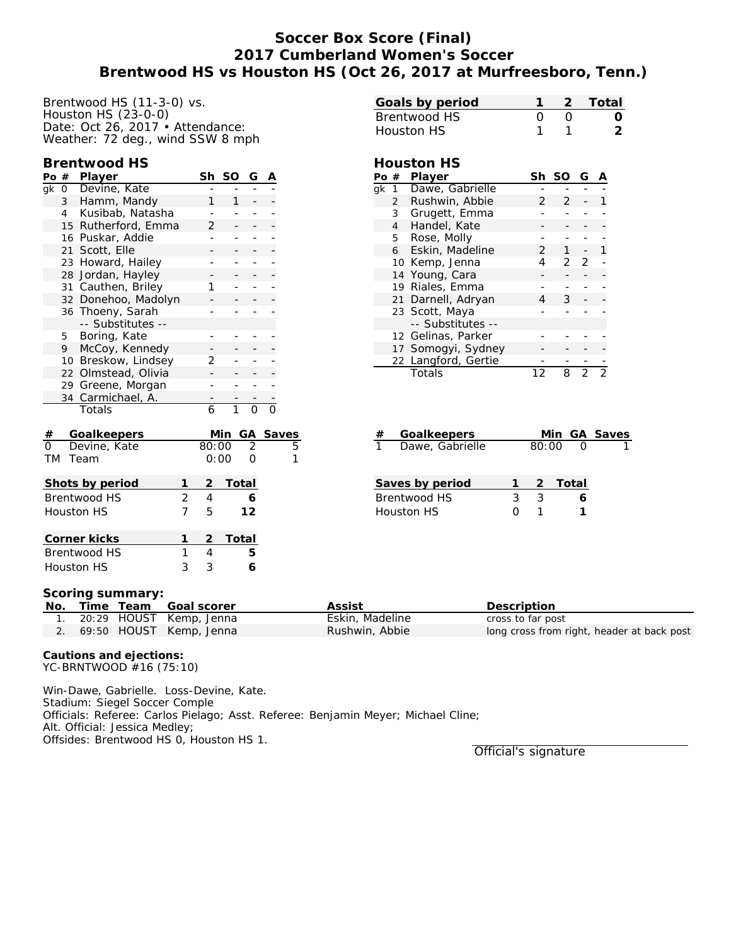# **Soccer Box Score (Final) 2017 Cumberland Women's Soccer Brentwood HS vs Houston HS (Oct 26, 2017 at Murfreesboro, Tenn.)**

Brentwood HS (11-3-0) vs. Houston HS (23-0-0) Date: Oct 26, 2017 • Attendance: Weather: 72 deg., wind SSW 8 mph

#### **Brentwood HS**

| Po                     | #                           | Player              |                | Sh             | SO             | G              | Α        |   |
|------------------------|-----------------------------|---------------------|----------------|----------------|----------------|----------------|----------|---|
| gk                     | $\overline{0}$              | Devine, Kate        |                |                |                |                |          |   |
|                        | Hamm, Mandy<br>$\mathbf{3}$ |                     |                |                | 1              |                |          |   |
|                        | 4                           | Kusibab, Natasha    |                |                |                |                |          |   |
|                        | 15                          | Rutherford, Emma    |                | $\overline{2}$ |                |                |          |   |
|                        |                             | 16 Puskar, Addie    |                |                |                |                |          |   |
|                        |                             | 21 Scott, Elle      |                |                |                |                |          |   |
|                        | 23                          | Howard, Hailey      |                | -              |                |                |          |   |
|                        | 28                          | Jordan, Hayley      |                |                |                |                |          |   |
|                        | 31                          | Cauthen, Briley     |                | 1              |                |                |          |   |
|                        |                             | 32 Donehoo, Madolyn |                |                |                |                |          |   |
|                        |                             | 36 Thoeny, Sarah    |                |                |                |                |          |   |
|                        |                             | -- Substitutes --   |                |                |                |                |          |   |
|                        | 5                           | Boring, Kate        |                |                |                |                |          |   |
|                        | 9                           | McCoy, Kennedy      |                |                |                |                |          |   |
|                        |                             | 10 Breskow, Lindsey |                | 2              |                |                |          |   |
|                        | 22                          | Olmstead, Olivia    |                |                |                |                |          |   |
|                        |                             | 29 Greene, Morgan   |                |                |                |                |          |   |
|                        | 34                          | Carmichael, A.      |                |                |                |                |          |   |
|                        |                             | Totals              |                | 6              | $\overline{1}$ | $\Omega$       |          |   |
| #                      |                             | Goalkeepers         |                |                | Min            |                | GA Saves |   |
| $\Omega$               |                             | Devine, Kate        |                | 80:00          |                | $\overline{2}$ |          | 5 |
| <b>TM</b>              |                             | Team                |                | 0:00           |                | $\Omega$       |          | 1 |
|                        |                             | Shots by period     | 1              | 2              | Total          |                |          |   |
|                        |                             | <b>Brentwood HS</b> | $\overline{2}$ | $\overline{4}$ |                | 6              |          |   |
| 7<br><b>Houston HS</b> |                             |                     |                |                |                | 12             |          |   |
| 1<br>Corner kicks      |                             |                     |                |                | Total          |                |          |   |

|                   |              | Goals by period     | 1               | $\overline{2}$ |                          | Total |   |
|-------------------|--------------|---------------------|-----------------|----------------|--------------------------|-------|---|
|                   |              | <b>Brentwood HS</b> | 0               | O              |                          |       |   |
| <b>Houston HS</b> |              |                     |                 | 1              |                          |       | 2 |
|                   |              |                     |                 |                |                          |       |   |
|                   |              | Houston HS          |                 |                |                          |       |   |
|                   |              | Po $#$ Player       |                 | Sh SO          | G                        | Α     |   |
| qk                | $\mathbf{1}$ | Dawe, Gabrielle     |                 |                |                          |       |   |
|                   |              | 2 Rushwin, Abbie    | $\mathcal{P}$   | $\mathcal{P}$  |                          |       |   |
|                   |              | 3 Grugett, Emma     |                 |                |                          |       |   |
|                   | 4            | Handel, Kate        |                 |                |                          |       |   |
|                   |              | 5 Rose, Molly       |                 |                |                          |       |   |
|                   | 6            | Eskin, Madeline     | $\overline{2}$  | $1 \quad$      | $\overline{\phantom{a}}$ | 1     |   |
|                   |              | 10 Kemp, Jenna      | 4               | $\mathcal{P}$  | 2                        |       |   |
|                   |              | 14 Young, Cara      |                 |                |                          |       |   |
|                   |              | 19 Riales, Emma     |                 |                |                          |       |   |
|                   |              | 21 Darnell, Adryan  | 4               | $\mathcal{S}$  |                          |       |   |
|                   |              | 23 Scott, Maya      |                 |                |                          |       |   |
|                   |              | -- Substitutes --   |                 |                |                          |       |   |
|                   |              | 12 Gelinas, Parker  |                 |                |                          |       |   |
|                   |              | 17 Somogyi, Sydney  |                 |                |                          |       |   |
|                   |              | 22 Langford, Gertie |                 |                |                          |       |   |
|                   |              | Totals              | 12 <sup>2</sup> | 8              | $\overline{2}$           |       |   |
|                   |              |                     |                 |                |                          |       |   |
|                   |              |                     |                 |                |                          |       |   |
|                   |              |                     |                 |                |                          |       |   |

| # Goalkeepers     |       | Min GA Saves |
|-------------------|-------|--------------|
| 1 Dawe, Gabrielle | 80:00 |              |

| Saves by period |              |               | -2 Total |
|-----------------|--------------|---------------|----------|
| Brentwood HS    | 3.           | $\mathcal{R}$ |          |
| Houston HS      | $\mathbf{O}$ |               |          |

#### **Scoring summary:**

|  | No. Time Team Goal scorer  | Assist          | Description                                |
|--|----------------------------|-----------------|--------------------------------------------|
|  | 1. 20:29 HOUST Kemp, Jenna | Eskin, Madeline | cross to far post                          |
|  | 2. 69:50 HOUST Kemp, Jenna | Rushwin, Abbie  | long cross from right, header at back post |

**Cautions and ejections:** YC-BRNTWOOD #16 (75:10)

Brentwood HS 1 4 **5** Houston HS 3 3 **6**

Win-Dawe, Gabrielle. Loss-Devine, Kate. Stadium: Siegel Soccer Comple Officials: Referee: Carlos Pielago; Asst. Referee: Benjamin Meyer; Michael Cline; Alt. Official: Jessica Medley; Offsides: Brentwood HS 0, Houston HS 1.

Official's signature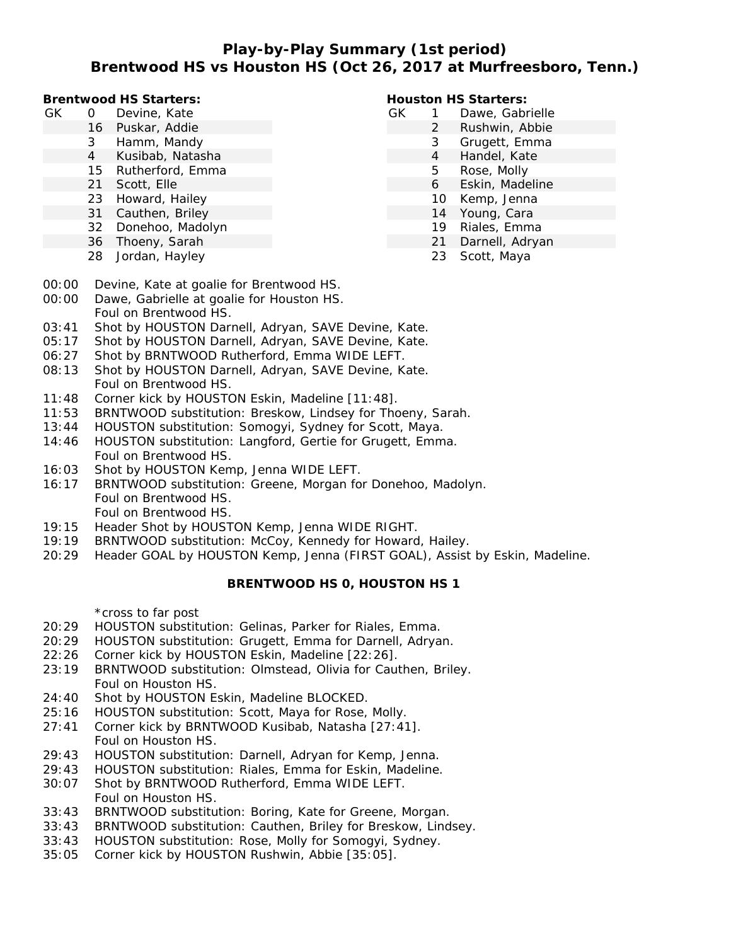## **Play-by-Play Summary (1st period) Brentwood HS vs Houston HS (Oct 26, 2017 at Murfreesboro, Tenn.)**

**Brentwood HS Starters:**

- GK 0 Devine, Kate
	- 16 Puskar, Addie
	- 3 Hamm, Mandy
	- 4 Kusibab, Natasha
	- 15 Rutherford, Emma
	- 21 Scott, Elle
	- 23 Howard, Hailey
	- 31 Cauthen, Briley
	- 32 Donehoo, Madolyn
	- 36 Thoeny, Sarah
	- 28 Jordan, Hayley

### **Houston HS Starters:**

- GK 1 Dawe, Gabrielle
	- 2 Rushwin, Abbie
		- 3 Grugett, Emma
			- 4 Handel, Kate
		- 5 Rose, Molly
		- 6 Eskin, Madeline
		- 10 Kemp, Jenna
		- 14 Young, Cara
		- 19 Riales, Emma
		- 21 Darnell, Adryan
		- 23 Scott, Maya
- 00:00 Devine, Kate at goalie for Brentwood HS.
- 00:00 Dawe, Gabrielle at goalie for Houston HS. Foul on Brentwood HS.
- 03:41 Shot by HOUSTON Darnell, Adryan, SAVE Devine, Kate.
- 05:17 Shot by HOUSTON Darnell, Adryan, SAVE Devine, Kate.
- 06:27 Shot by BRNTWOOD Rutherford, Emma WIDE LEFT.
- 08:13 Shot by HOUSTON Darnell, Adryan, SAVE Devine, Kate. Foul on Brentwood HS.
- 11:48 Corner kick by HOUSTON Eskin, Madeline [11:48].
- 11:53 BRNTWOOD substitution: Breskow, Lindsey for Thoeny, Sarah.
- 13:44 HOUSTON substitution: Somogyi, Sydney for Scott, Maya.
- 14:46 HOUSTON substitution: Langford, Gertie for Grugett, Emma. Foul on Brentwood HS.
- 16:03 Shot by HOUSTON Kemp, Jenna WIDE LEFT.
- 16:17 BRNTWOOD substitution: Greene, Morgan for Donehoo, Madolyn. Foul on Brentwood HS. Foul on Brentwood HS.
- 19:15 Header Shot by HOUSTON Kemp, Jenna WIDE RIGHT.
- 19:19 BRNTWOOD substitution: McCoy, Kennedy for Howard, Hailey.
- 20:29 Header GOAL by HOUSTON Kemp, Jenna (FIRST GOAL), Assist by Eskin, Madeline.

## **BRENTWOOD HS 0, HOUSTON HS 1**

\*cross to far post

- 20:29 HOUSTON substitution: Gelinas, Parker for Riales, Emma.
- 20:29 HOUSTON substitution: Grugett, Emma for Darnell, Adryan.
- 22:26 Corner kick by HOUSTON Eskin, Madeline [22:26].
- 23:19 BRNTWOOD substitution: Olmstead, Olivia for Cauthen, Briley. Foul on Houston HS.
- 24:40 Shot by HOUSTON Eskin, Madeline BLOCKED.
- 25:16 HOUSTON substitution: Scott, Maya for Rose, Molly.
- 27:41 Corner kick by BRNTWOOD Kusibab, Natasha [27:41]. Foul on Houston HS.
- 29:43 HOUSTON substitution: Darnell, Adryan for Kemp, Jenna.
- 29:43 HOUSTON substitution: Riales, Emma for Eskin, Madeline.
- 30:07 Shot by BRNTWOOD Rutherford, Emma WIDE LEFT. Foul on Houston HS.
- 33:43 BRNTWOOD substitution: Boring, Kate for Greene, Morgan.
- 33:43 BRNTWOOD substitution: Cauthen, Briley for Breskow, Lindsey.
- 33:43 HOUSTON substitution: Rose, Molly for Somogyi, Sydney.
- 35:05 Corner kick by HOUSTON Rushwin, Abbie [35:05].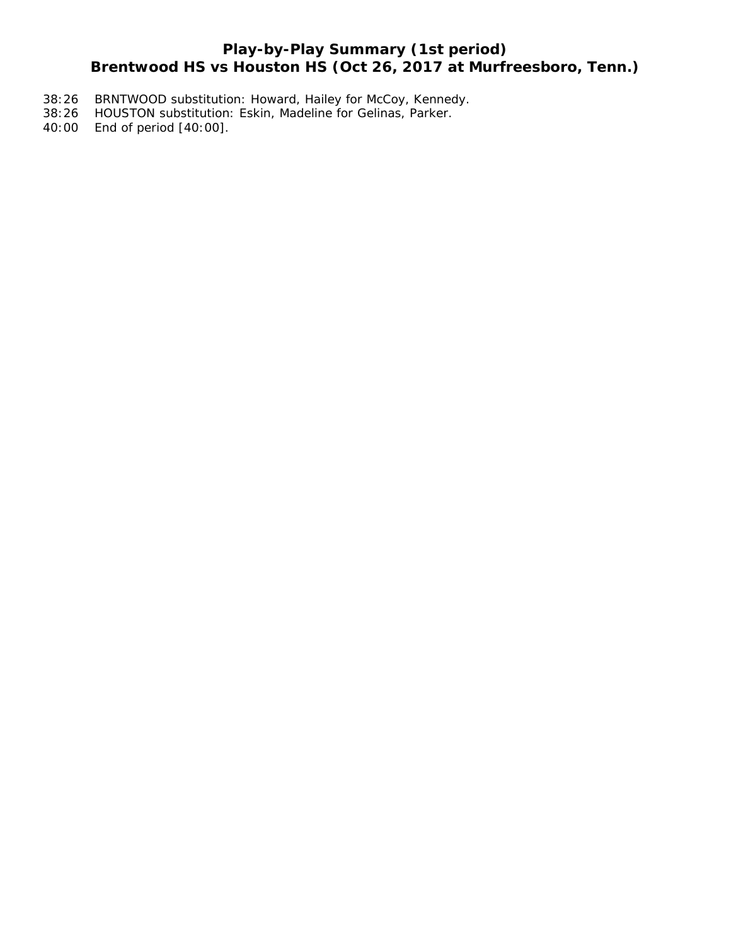# **Play-by-Play Summary (1st period) Brentwood HS vs Houston HS (Oct 26, 2017 at Murfreesboro, Tenn.)**

- 38:26 BRNTWOOD substitution: Howard, Hailey for McCoy, Kennedy.
- 38:26 HOUSTON substitution: Eskin, Madeline for Gelinas, Parker.
- 40:00 End of period [40:00].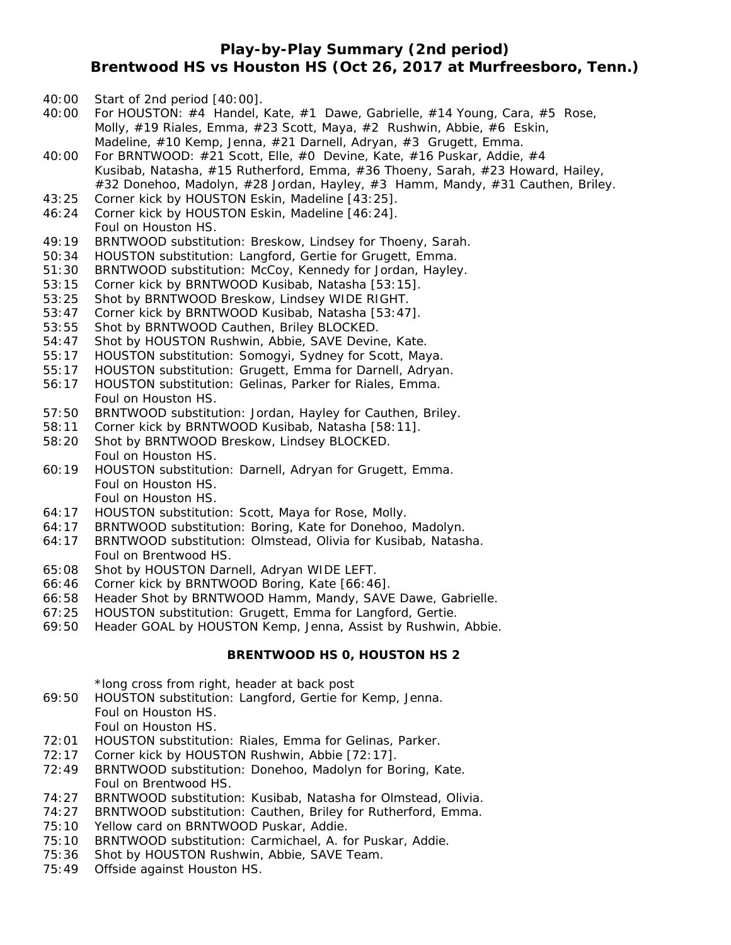## **Play-by-Play Summary (2nd period) Brentwood HS vs Houston HS (Oct 26, 2017 at Murfreesboro, Tenn.)**

- 40:00 Start of 2nd period [40:00].
- 40:00 For HOUSTON:  $#4$  Handel, Kate,  $#1$  Dawe, Gabrielle,  $#14$  Young, Cara,  $#5$  Rose, Molly, #19 Riales, Emma, #23 Scott, Maya, #2 Rushwin, Abbie, #6 Eskin, Madeline, #10 Kemp, Jenna, #21 Darnell, Adryan, #3 Grugett, Emma.
- 40:00 For BRNTWOOD: #21 Scott, Elle, #0 Devine, Kate, #16 Puskar, Addie, #4 Kusibab, Natasha, #15 Rutherford, Emma, #36 Thoeny, Sarah, #23 Howard, Hailey, #32 Donehoo, Madolyn, #28 Jordan, Hayley, #3 Hamm, Mandy, #31 Cauthen, Briley.
- 43:25 Corner kick by HOUSTON Eskin, Madeline [43:25].
- 46:24 Corner kick by HOUSTON Eskin, Madeline [46:24]. Foul on Houston HS.
- 49:19 BRNTWOOD substitution: Breskow, Lindsey for Thoeny, Sarah.
- 50:34 HOUSTON substitution: Langford, Gertie for Grugett, Emma.
- 51:30 BRNTWOOD substitution: McCoy, Kennedy for Jordan, Hayley.
- 53:15 Corner kick by BRNTWOOD Kusibab, Natasha [53:15].
- 53:25 Shot by BRNTWOOD Breskow, Lindsey WIDE RIGHT.
- 53:47 Corner kick by BRNTWOOD Kusibab, Natasha [53:47].
- 53:55 Shot by BRNTWOOD Cauthen, Briley BLOCKED.
- 54:47 Shot by HOUSTON Rushwin, Abbie, SAVE Devine, Kate.
- 55:17 HOUSTON substitution: Somogyi, Sydney for Scott, Maya.
- 55:17 HOUSTON substitution: Grugett, Emma for Darnell, Adryan.
- 56:17 HOUSTON substitution: Gelinas, Parker for Riales, Emma. Foul on Houston HS.
- 57:50 BRNTWOOD substitution: Jordan, Hayley for Cauthen, Briley.
- 58:11 Corner kick by BRNTWOOD Kusibab, Natasha [58:11].
- 58:20 Shot by BRNTWOOD Breskow, Lindsey BLOCKED. Foul on Houston HS.
- 60:19 HOUSTON substitution: Darnell, Adryan for Grugett, Emma. Foul on Houston HS. Foul on Houston HS.
- 64:17 HOUSTON substitution: Scott, Maya for Rose, Molly.
- 64:17 BRNTWOOD substitution: Boring, Kate for Donehoo, Madolyn.
- 64:17 BRNTWOOD substitution: Olmstead, Olivia for Kusibab, Natasha. Foul on Brentwood HS.
- 65:08 Shot by HOUSTON Darnell, Adryan WIDE LEFT.
- 66:46 Corner kick by BRNTWOOD Boring, Kate [66:46].
- 66:58 Header Shot by BRNTWOOD Hamm, Mandy, SAVE Dawe, Gabrielle.
- 67:25 HOUSTON substitution: Grugett, Emma for Langford, Gertie.
- 69:50 Header GOAL by HOUSTON Kemp, Jenna, Assist by Rushwin, Abbie.

#### **BRENTWOOD HS 0, HOUSTON HS 2**

\*long cross from right, header at back post

- 69:50 HOUSTON substitution: Langford, Gertie for Kemp, Jenna. Foul on Houston HS.
	- Foul on Houston HS.
- 72:01 HOUSTON substitution: Riales, Emma for Gelinas, Parker.
- 72:17 Corner kick by HOUSTON Rushwin, Abbie [72:17].
- 72:49 BRNTWOOD substitution: Donehoo, Madolyn for Boring, Kate. Foul on Brentwood HS.
- 74:27 BRNTWOOD substitution: Kusibab, Natasha for Olmstead, Olivia.
- 74:27 BRNTWOOD substitution: Cauthen, Briley for Rutherford, Emma.
- 75:10 Yellow card on BRNTWOOD Puskar, Addie.
- 75:10 BRNTWOOD substitution: Carmichael, A. for Puskar, Addie.
- 75:36 Shot by HOUSTON Rushwin, Abbie, SAVE Team.
- 75:49 Offside against Houston HS.